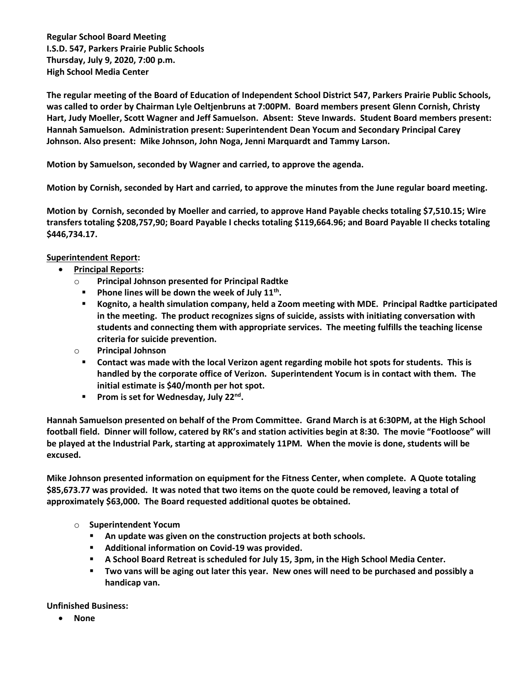**Regular School Board Meeting I.S.D. 547, Parkers Prairie Public Schools Thursday, July 9, 2020, 7:00 p.m. High School Media Center**

**The regular meeting of the Board of Education of Independent School District 547, Parkers Prairie Public Schools, was called to order by Chairman Lyle Oeltjenbruns at 7:00PM. Board members present Glenn Cornish, Christy Hart, Judy Moeller, Scott Wagner and Jeff Samuelson. Absent: Steve Inwards. Student Board members present: Hannah Samuelson. Administration present: Superintendent Dean Yocum and Secondary Principal Carey Johnson. Also present: Mike Johnson, John Noga, Jenni Marquardt and Tammy Larson.**

**Motion by Samuelson, seconded by Wagner and carried, to approve the agenda.**

**Motion by Cornish, seconded by Hart and carried, to approve the minutes from the June regular board meeting.**

**Motion by Cornish, seconded by Moeller and carried, to approve Hand Payable checks totaling \$7,510.15; Wire transfers totaling \$208,757,90; Board Payable I checks totaling \$119,664.96; and Board Payable II checks totaling \$446,734.17.** 

## **Superintendent Report:**

- **Principal Reports:** 
	- o **Principal Johnson presented for Principal Radtke**
		- **Phone lines will be down the week of July 11th .**
		- **Kognito, a health simulation company, held a Zoom meeting with MDE. Principal Radtke participated in the meeting. The product recognizes signs of suicide, assists with initiating conversation with students and connecting them with appropriate services. The meeting fulfills the teaching license criteria for suicide prevention.**
	- o **Principal Johnson**
		- **Contact was made with the local Verizon agent regarding mobile hot spots for students. This is handled by the corporate office of Verizon. Superintendent Yocum is in contact with them. The initial estimate is \$40/month per hot spot.**
		- **Prom is set for Wednesday, July 22nd .**

**Hannah Samuelson presented on behalf of the Prom Committee. Grand March is at 6:30PM, at the High School football field. Dinner will follow, catered by RK's and station activities begin at 8:30. The movie "Footloose" will be played at the Industrial Park, starting at approximately 11PM. When the movie is done, students will be excused.**

**Mike Johnson presented information on equipment for the Fitness Center, when complete. A Quote totaling \$85,673.77 was provided. It was noted that two items on the quote could be removed, leaving a total of approximately \$63,000. The Board requested additional quotes be obtained.** 

- o **Superintendent Yocum**
	- **An update was given on the construction projects at both schools.**
	- **Additional information on Covid-19 was provided.**
	- **A School Board Retreat is scheduled for July 15, 3pm, in the High School Media Center.**
	- **Two vans will be aging out later this year. New ones will need to be purchased and possibly a handicap van.**

**Unfinished Business:**

**None**